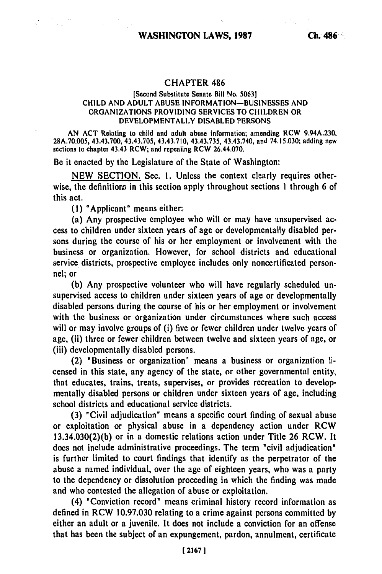## **CHAPTER** 486

## [Second Substitute Senate Bill No. **5063] CHILD AND ADULT ABUSE** INFORMATION-BUSINESSES **AND** ORGANIZATIONS PROVIDING **SERVICES** TO CHILDREN OR DEVELOPMENTALLY **DISABLED** PERSONS

AN **ACT** Relating to child and adult abuse information; amending RCW 9.94A.230, 28A.70.005, 43.43.700, 43.43.705, 43.43.710, 43.43.735, 43.43.740, and 74.15.030; adding new sections to chapter 43.43 RCW; and repealing RCW 26.44.070.

Be it enacted **by** the Legislature of the State of Washington:

**NEW SECTION.** Sec. **1.** Unless the context clearly requires otherwise, the definitions in this section apply throughout sections **1** through 6 of this act.

**(1)** "Applicant" means either:-

(a) Any prospective employee who will or may have unsupervised access to children under sixteen years of age or developmentally disabled persons during the course of his or her employment or involvement with the business or organization. However, for school districts and educational service districts, prospective employee includes only noncertificated personnel; or

**(b)** Any prospective volunteer who will have regularly scheduled unsupervised access to children under sixteen years of age or developmentally disabled persons during the course of his or her employment or involvement with the business or organization under circumstances where such access will or may involve groups of (i) five or fewer children under twelve years of age, (ii) three or fewer children between twelve and sixteen years of age, or (iii) developmentally disabled persons.

(2) "Business or organization" means a business or organization licensed in this state, any agency of the state, or other governmental entity, that educates, trains, treats, supervises, or provides recreation to developmentally disabled persons or children under sixteen years of age, including school districts and educational service districts.

**(3)** "Civil adjudication" means a specific court finding of sexual abuse or exploitation or physical abuse in a dependency action under RCW 13.34.030(2)(b) or in a domestic relations action under Title 26 RCW, It does not include administrative proceedings. The term "civil adjudication" is further limited to court findings that identify as the perpetrator of the abuse a named individual, over the age of eighteen years, who was a party to the dependency or dissolution proceeding in which the finding was made and who contested the allegation of abuse or exploitation.

(4) "Conviction record" means criminal history record information as defined in RCW 10.97.030 relating to a crime against persons committed **by** either an adult or a juvenile. It does not include a conviction for an offense that has been the subject of an expungement, pardon, annulment, certificate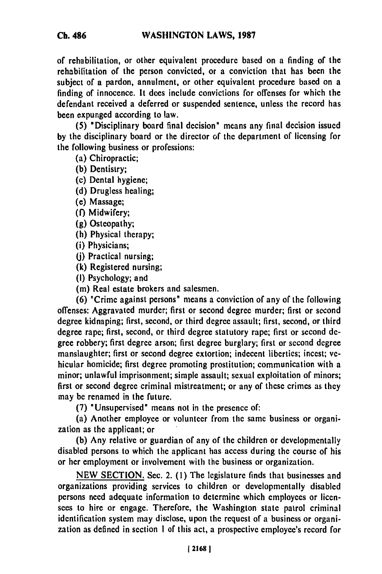**Ch. 486**

of rehabilitation, or other equivalent procedure based on a finding of the rehabilitation of the person convicted, or a conviction that has been the subject of a pardon, annulment, or other equivalent procedure based on a finding of innocence. It does include convictions for offenses for which the defendant received a deferred or suspended sentence, unless the record has been expunged according to law.

**(5)** "Disciplinary board final decision" means any final decision issued **by** the disciplinary board or the director of the department of licensing for the following business or professions:

(a) Chiropractic;

**(b)** Dentistry;

(c) Dental hygiene;

**(d)** Drugless healing;

(e) Massage;

**(f)** Midwifery;

**(g)** Osteopathy;

(h) Physical therapy;

(i) Physicians;

**(j)** Practical nursing;

**(k)** Registered nursing;

**(I)** Psychology; and

**(m)** Real estate brokers and salesmen.

**(6)** "Crime against persons" means a conviction of any of the following offenses: Aggravated murder; first or second degree murder; first or second degree kidnaping; first, second, or third degree assault; first, second, or third degree rape; first, second, or third degree statutory rape; first or second degree robbery; first degree arson; first degree burglary; first or second degree manslaughter; first or second degree extortion; indecent liberties; incest; vehicular homicide; first degree promoting prostitution; communication with a minor; unlawful imprisonment; simple assault; sexual exploitation of minors; first or second degree criminal mistreatment; or any of these crimes as they may be renamed in the future.

**(7)** "Unsupervised" means not in the presence of:

(a) Another employee or volunteer from the same business or organization as the applicant; or

**(b)** Any relative or guardian of any of the children or developmentally disabled persons to which the applicant has access during the course of his or her employment or involvement with the business or organization.

**NEW SECTION.** Sec. 2. **(1)** The legislature finds that businesses and organizations providing services to children or developmentally disabled persons need adequate information to determine which employees or licensees to hire or engage. Therefore, the Washington state patrol criminal identification system may disclose, upon the request of a business or organization as defined in section **I** of this act, a prospective employee's record for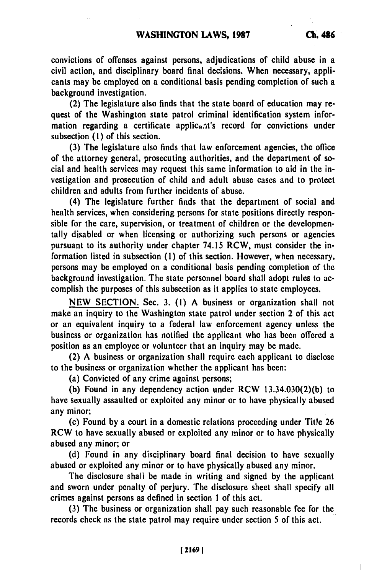convictions of offenses against persons, adjudications of child abuse in a civil action, and disciplinary board final decisions. When necessary, applicants may be employed on a conditional basis pending completion of such a background investigation.

(2) The legislature also finds that the state board of education may request of the Washington state patrol criminal identification system information regarding a certificate applicant's record for convictions under subsection **(1)** of this section.

**(3)** The legislature also finds that law enforcement agencies, the office of the attorney general, prosecuting authorities, and the department of social and health services may request this same information to aid in the investigation and prosecution of child and adult abuse cases and to protect children and adults from further incidents of abuse.

(4) The legislature further finds that the department of social and health services, when considering persons for state positions directly responsible for the care, supervision, or treatment of children or the developmentally disabled or when licensing or authorizing such persons or agencies pursuant to its authority under chapter 74.15 RCW, must consider the information listed in subsection **(1)** of this section. However, when necessary, persons may be employed on a conditional basis pending completion of the background investigation. The state personnel board shall adopt rules to accomplish the purposes of this subsection as it applies to state employees.

**NEW SECTION.** Sec. **3. (1) A** business or organization shall not make an inquiry to the Washington state patrol under section 2 of this act or an equivalent inquiry to a federal law enforcement agency unless the business or organization has notified the applicant who has been offered a position as an employee or volunteer that an inquiry may **be** made.

(2) **A** business or organization shall require each applicant to disclose to the business or organization whether the applicant has been:

(a) Convicted of any crime against persons;

**(b)** Found in any dependency action under RCW **13.34.030(2)(b)** to have sexually assaulted or exploited any minor or to have physically abused any minor;

(c) Found **by** a court in a domestic relations proceeding under Title **26** RCW to have sexually abused or exploited any minor or to have physically abused any minor; or

**(d)** Found in any disciplinary board final decision to have sexually abused or exploited any minor or to have physically abused any minor.

The disclosure shall be made in writing and signed **by** the applicant and sworn under penalty of perjury. The disclosure sheet shall specify all crimes against persons as defined in section **1** of this act.

**(3)** The business or organization shall pay such reasonable fee for the records check as the state patrol may require under section 5 of this act.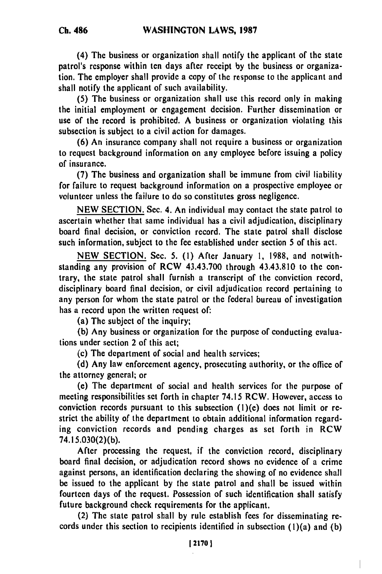(4) The business or organization shall notify the applicant of the state patrol's response within ten days after receipt **by** the business or organization. The employer shall provide a copy of the response to the applicant and shall notify the applicant of such availability.

**(5)** The business or organization shall use this record only in making the initial employment or engagement decision. Further dissemination or use of the record is prohibited. A business or organization violating this subsection is subject to a civil action for damages.

**(6)** An insurance company shall not require a business or organization to request background information on any employee before issuing a policy of insurance.

**(7)** The business and organization shall **be** immune from civil liability for failure to request background information on a prospective employee or volunteer unless the failure to do so constitutes gross negligence.

**NEW SECTION.** Sec. 4. An individual may contact the state patrol to ascertain whether that same individual has a civil adjudication, disciplinary board final decision, or conviction record. The state patrol shall disclose such information, subject to the fee established under section 5 of this act.

**NEW** SECTION. Sec. 5. **(1)** After January **1, 1988,** and notwithstanding any provision of RCW 43.43.700 through 43.43.810 to the contrary, the state patrol shall furnish a transcript of the conviction record, disciplinary board final decision, or civil adjudication record pertaining to any person for whom the state patrol or the federal bureau of investigation has a record upon the written request of:

(a) The subject of the inquiry;

**(b)** Any business or organization for the purpose of conducting evaluations under section 2 of this act;

(c) The department of social and health services;

**(d)** Any law enforcement agency, prosecuting authority, or the office of the attorney general; or

(e) The department of social and health services for the purpose of meeting responsibilities set forth in chapter 74.15 RCW. However, access to conviction records pursuant to this subsection (1)(e) does not limit or **re**strict the ability of the department to obtain additional information regarding conviction records and pending charges as set forth in RCW 74.15.030(2)(b).

After processing the request, if the conviction record, disciplinary board final decision, or adjudication record shows no evidence of a crime against persons, an identification declaring the showing of no evidence shall **be** issued to the applicant **by** the state patrol and shall be issued within fourteen days of the request. Possession of such identification shall satisfy future background check requirements for the applicant.

(2) The state patrol shall **by** rule establish fees for disseminating records under this section to recipients identified in subsection (1)(a) and **(b)**

ľ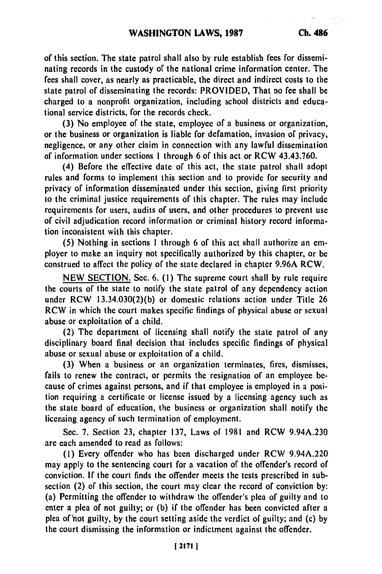of this section. The state patrol shall also **by** rule establish fees for disseminating records in the custody of the national crime information center. The fees shall cover, as nearly as practicable, the direct and indirect costs to the state patrol of disseminating the records: PROVIDED, That no fee shall be charged to a nonprofit organization, including school districts and educational service districts, for the records check.

**(3)** No employee of the state, employee of a business or organization, or the business or organization is liable for defamation, invasion of privacy, negligence, or any other claim in connection with any lawful dissemination of information under sections **I** through 6 of this act or RCW 43.43.760.

(4) Before the effective date of this act, the state patrol shall adopt rules and forms to implement this section and to provide for security and privacy of information disseminated under this section, giving first priority to the criminal justice requirements of this chapter. The rules may include requirements for users, audits of users, and other procedures to prevent use of civil adjudication record information or criminal history record information inconsistent with this chapter.

**(5)** Nothing in sections **1** through 6 of this act shall authorize an **em**ployer to make an inquiry not specifically authorized **by** this chapter, or be construed to affect the policy of the state declared in chapter **9.96A** RCW.

**NEW SECTION.** Sec. **6. (1)** The supreme court shall **by** rule require the courts of the state to notify the state patrol of any dependency action under RCW **13.34.030(2)(b)** or domestic relations action under Title **26** RCW in which the court makes specific findings of physical abuse or sexual abuse or exploitation of a child.

(2) The department of licensing shall notify the state patrol of any disciplinary board final decision that includes specific findings of physical abuse or sexual abuse or exploitation of a child.

**(3)** When a business or an organization terminates, fires, dismisses, fails to renew the contract, or permits the resignation of an employee because of crimes against persons, and if that employee is employed in a position requiring a certificate or license issued **by** a licensing agency such as the state board of education, the business or organization shall notify the licensing agency of such termination of employment.

Sec. **7.** Section **23,** chapter **137,** Laws of **1981** and RCW 9.94A.230 **are** each amended to read as follows:

**(1)** Every offender who has been discharged under RCW 9.94A.220 may apply to the sentencing court for a vacation of the offender's record of conviction. **If** the court finds the offender meets the tests prescribed in subsection (2) of this section, the court may clear the record of conviction **by:** (a) Permitting the offender to withdraw the offender's **plea** of guilty and to enter a plea of not guilty; or **(b)** if the offender has been convicted after a plea of'not guilty, **by** the court setting aside the verdict of guilty; and (c) **by** the court dismissing the information or indictment against the offender.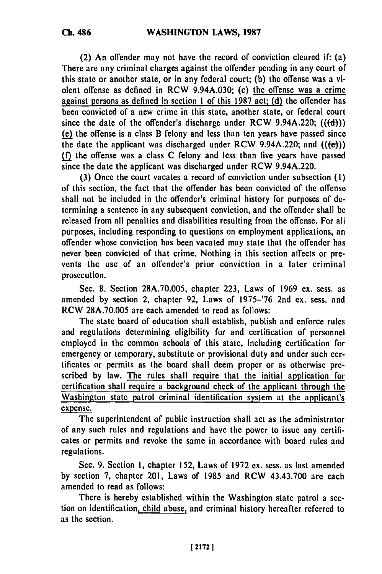**Ch. 486**

(2) **An** offender may not have the record of conviction cleared if: (a) There are any criminal charges against the offender pending in any court of this state or another state, or in any federal court; **(b)** the offense was a violent offense as defined in RCW 9.94A.030; (c) the offense was a crime against persons as defined in section **1** of this **1987** act; **(d)** the offender has been convicted of a new crime in this state, another state, or federal court since the date of the offender's discharge under RCW  $9.94A.220$ ; (( $\textbf{(d)}$ )) **(e)** the offense is a class B felony and less than ten years have passed since the date the applicant was discharged under RCW 9.94A.220; and  $((e))$ **.fQ** the offense was a class **C** felony and less than five years have passed since the date the applicant was discharged under RCW 9.94A.220.

**(3)** Once the court vacates a record of conviction under subsection **(1)** of this section, the fact that the offender has been convicted of the offense shall not be included in the offender's criminal history for purposes of determining a sentence in any subsequent conviction, and the offender shall be released from all penalties and disabilities resulting from the offense. For all purposes, including responding to questions on employment applications, an offender whose conviction has been vacated may state that the offender has never been convicted of that crime. Nothing in this section affects or prevents the use of an offender's prior conviction in a later criminal prosecution.

Sec. **8.** Section **28A.70.005,** chapter **223,** Laws of 1969 **cx.** sess. as amended **by** section 2, chapter **92,** Laws of **1975-'76** 2nd **cx.** sess. and RCW **28A.70.005 are** each amended to read as follows:

The state board of education shall establish, publish and enforce rules and regulations determining eligibility for and certification of personnel employed in the common schools of this state, including certification for emergency or temporary, substitute or provisional duty and under such certificates or permits as the board shall deem proper or as otherwise prescribed **by** law. The rules shall require that the initial application for certification shall require a background check of the applicant through the Washington state patrol criminal identification system at the applicant's expense.

The superintendent of public instruction shall act as the administrator of any such rules and regulations and have the power to issue any certificates or permits and revoke the same in accordance with board rules and regulations.

Sec. **9.** Section **1,** chapter **152,** Laws of **1972 cx.** sess. as last amcnded **by** section **7,** chapter 201, Laws of **1985** and RCW 43.43.700 **are** each amended to read as follows:

There is hereby established within the Washington state patrol a section on identification, child abuse, and criminal history hereafter referred to as the section.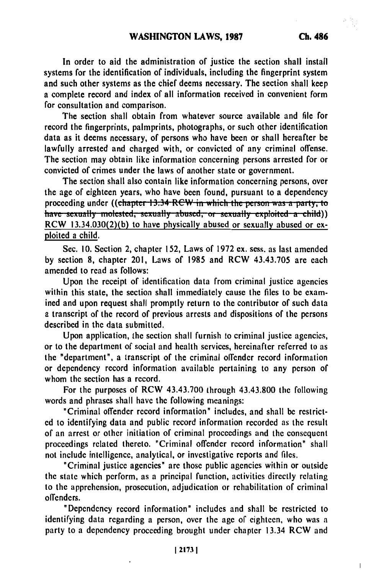In order to aid the administration of justice the section shall install systems for the identification of individuals, including the fingerprint system and such other systems as the chief deems necessary. The section shall keep a complete record and index of all information received in convenient form for consultation and comparison.

The section shall obtain from whatever source available and file for record the fingerprints, palmprints, photographs, or such other identification data as it deems necessary, of persons who have been or shall hereafter be lawfully arrested and charged with, or convicted of any criminal offense. The section may obtain like information concerning persons arrested for or convicted of crimes under the laws of another state or government.

The section shall also contain like information concerning persons, over the age of eighteen years, who have been found, pursuant to a dependency proceeding under ((chapter 13.34 RCW in which the person was a party, to have sexually molested, sexually abused, or sexually exploited a child)) RCW 13.34.030(2)(b) to have physically abused or sexually abused or exploited a child.

Sec. **10.** Section 2, chapter **152,** Laws of 1972 **ex.** sess. as last amended by section **8,** chapter 201, Laws of 1985 and RCW 43.43.705 are each amended to read as follows:

Upon the receipt of identification data from criminal justice agencies within this state, the section shall immediately cause the files to **be** examined and upon request shall promptly return to the contributor of such data a transcript of the record of previous arrests and dispositions of the persons described in the data submitted.

Upon application, the section shall furnish to criminal justice agencies, or to the department of social and health services, hereinafter referred to as the "department", a transcript of the criminal offender record information or dependency record information available pertaining to any person of whom the section has a record.

For the purposes of RCW 43.43.700 through 43.43.800 the following words and phrases shall have the following meanings:

"Criminal offender record information" includes, and shall **be** restricted to identifying data and public record information recorded as the result of an arrest or other initiation of criminal proceedings and the consequent proceedings related thereto. "Criminal offender record information" shall not include intelligence, analytical, or investigative reports and files.

"Criminal justice agencies" are those public agencies within or outside the state which perform, as a principal function, activities directly relating to the apprehension, prosecution, adjudication or rehabilitation of criminal offenders.

"Dependency record information" includes and shall **be** restricted to identifying data regarding a person, over the age of eighteen, who was a party to a dependency proceeding brought under chapter 13.34 RCW and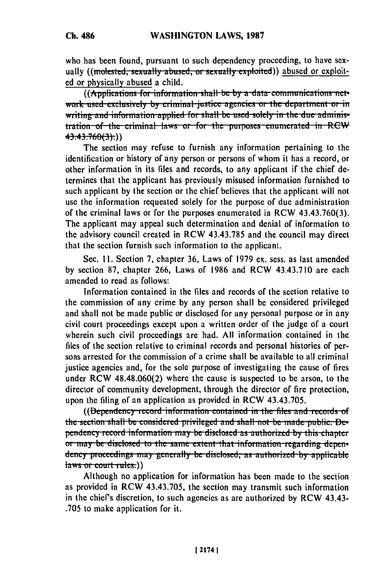who has been found, pursuant to such dependency proceeding, to have sexually ((molested, sexually abused, or sexually exploited)) abused or exploited or physically abused a child.

((Applications for information shall be by a-data-communications network used exclusively by criminal justice agencies or the department or in writing and information applied for shall be used solely in the due administration of the criminal laws or for the purposes enumerated in RCW 43.43.760(3).)

The section may refuse to furnish any information pertaining to the identification or history of any person or persons of whom it has a record, or other information in its files and records, to any applicant if the chief determines that the applicant has previously misused information furnished to such applicant by the section or the chief believes that the applicant will not use the information requested solely for the purpose of due administration of the criminal laws or for the purposes enumerated in RCW 43.43.760(3). The applicant may appeal such determination and denial of information to the advisory council created in RCW 43.43.785 and the council may direct that the section furnish such information to the applicant.

Sec. 11. Section 7, chapter 36, Laws of 1979 ex. sess. as last amended by section 87, chapter 266, Laws of 1986 and RCW 43.43.710 are each amended to read as follows:

Information contained in the files and records of the section relative to the commission of any crime by any person shall be considered privileged and shall not be made public or disclosed for any personal purpose or in any civil court proceedings except upon a written order of the judge of a court wherein such civil proceedings are had. All information contained in the files of the section relative to criminal records and personal histories of persons arrested for the commission of a crime shall be available to all criminal justice agencies and, for the sole purpose of investigating the cause of fires under RCW 48.48.060(2) where the cause is suspected to be arson, to the director of community development, through the director of fire protection, upon the filing of an application as provided in RCW 43.43.705.

((Dependency record information contained in the files and records of the section shall be considered privileged and shall not be made public. Dependency record information may be disclosed as authorized by this chapter or may be disclosed to the same extent that information regarding dependency proceedings may generally be disclosed, as authorized by applicable  $laws$  or court-rules:))

Although no application for information has been made to the section as provided in RCW 43.43.705, the section may transmit such information in the chief's discretion, to such agencies as are authorized by RCW 43.43-.705 to make application for it.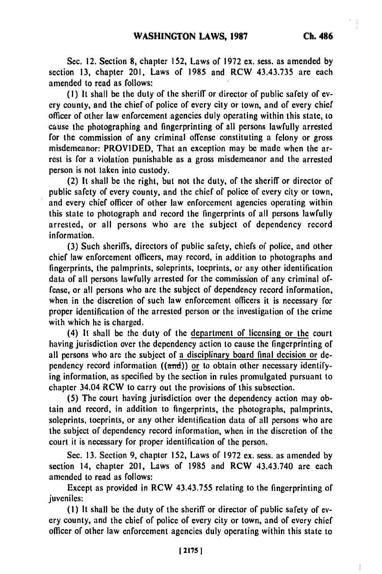$\overline{1}$ 

Sec. 12. Section **8,** chapter **152,** Laws of **1972 ex.** sess. as amended **by** section **13,** chapter 201, Laws of 1985 and RCW 43.43.735 are each amended to read as follows:

**(1)** It shall be the duty of the sheriff or director of public safety of every county, and the chief of police of every city or town, and of every chief officer of other law enforcement agencies duly operating within this state, to cause the photographing and fingerprinting of all persons lawfully arrested for the commission of any criminal offense constituting a felony or gross misdemeanor: PROVIDED, That an exception may **be** made when the arrest is for a violation punishable as a gross misdemeanor and the arrested person is not taken into custody.

(2) It shall be the right, but not the duty, of the sheriff or director of public safety of every county, and the chief of police of every city or town, and every chief officer of other law enforcement agencies operating within this state to photograph and record the fingerprints of all persons lawfully arrested, or all persons who are the subject of dependency record information.

**(3)** Such sheriffs, directors of public safety, chiefs of police, and other chief law enforcement officers, may record, in addition to photographs and fingerprints, the palmprints, soleprints, toeprints, or any other identification data of all persons lawfully arrested for the commission of any criminal offense, or all persons who are the subject of dependency record information, when in the discretion of such law enforcement officers it is necessary for proper identification of the arrested person or the investigation of the crime with which he is charged.

(4) It shall be the duty of the department of licensing or the court having jurisdiction over the dependency action to cause the fingerprinting of all persons who are the subject of a disciplinary board final decision or dependency record information ((and)) or to obtain other necessary identifying information, as specified **by** the section in rules promulgated pursuant to chapter 34.04 RCW to carry out the provisions of this subsection.

**(5)** The court having jurisdiction over the dependency action may obtain and record, in addition to fingerprints, the photographs, palmprints, soleprints, toeprints, or any other identification data of all persons who are the subject of dependency record information, when in the discretion of the court it is necessary for proper identification of the person.

Sec. **13.** Section **9,** chapter **152,** Laws of **1972** ex. sess. as amended **by** section 14, chapter 201, Laws of 1985 and RCW 43.43.740 are each amended to read as follows:

Except as provided in RCW 43.43.755 relating to the fingerprinting of juveniles:

**(I)** It shall be the duty of the sheriff or director of public safety of every county, and the chief of police of every city or town, and of every chief officer of other law enforcement agencies duly operating within this state to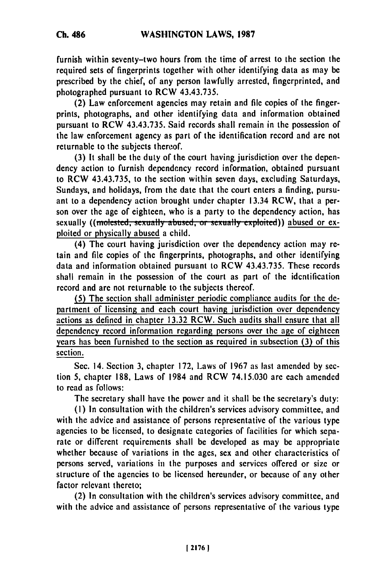furnish within seventy-two hours from the time of arrest to the section the required sets of fingerprints together with other identifying data as may be prescribed **by** the chief, of any person lawfully arrested, fingerprinted, and photographed pursuant to RCW 43.43.735.

(2) Law enforcement agencies may retain and file copies of the fingerprints, photographs, and other identifying data and information obtained pursuant to RCW 43.43.735. Said records shall remain in the possession of the law enforcement agency as part of the identification record and are not returnable to the subjects thereof.

**(3)** It shall be the duty of the court having jurisdiction over the **dependency** action to furnish dependency record information, obtained pursuant to RCW 43.43.735, to the section within seven days, excluding Saturdays, Sundays, and holidays, from the date that the court enters a finding, pursuant to a dependency action brought under chapter 13.34 RCW, that a person over the age of eighteen, who is a party to the dependency action, has sexually ((molested, sexually abused, or sexually exploited)) abused or exploited or physically abused a child.

(4) The court having jurisdiction over the dependency action may **re**tain and file copies of the fingerprints, photographs, and other identifying data and information obtained pursuant to RCW 43.43.735. These records shall remain in the possession of the court as part of the identification record and **are** not returnable to the subjects thereof.

**(5)** The section shall administer periodic compliance audits for the **de**partment of licensing and each court having jurisdiction over dependency actions as defined in chapter **13.32** RCW. Such audits shall ensure that all dependency record information regarding persons over the age of eighteen years has been furnished to the section as required in subsection **(3)** of this section.

Sec. 14. Section **3,** chapter **172,** Laws of 1967 as last amended **by** section **5,** chapter **188,** Laws of 1984 and RCW 74.15.030 **are** each amended to read as follows:

The secretary shall have the power and it shall be the secretary's duty:

**(I)** In consultation with the children's services advisory committee, and with the advice and assistance of persons representative of the various type agencies to **be** licensed, to designate categories of facilities for which separate or different requirements shall be developed as may **be** appropriate whether because of variations in the ages, sex and other characteristics of persons served, variations in the purposes and services offered or size or structure of the agencies to **be** licensed hereunder, or because of any other factor relevant thereto;

(2) In consultation with the children's services advisory committee, and with the advice and assistance of persons representative of the various type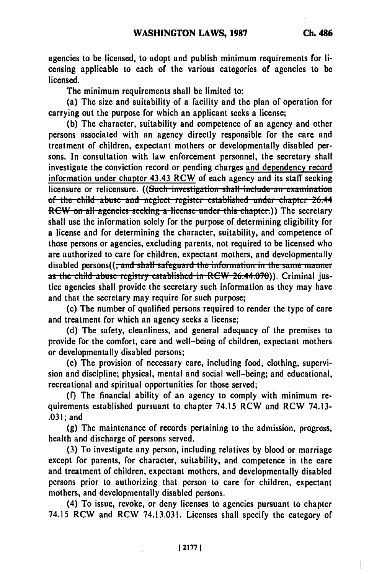agencies to be licensed, to adopt and publish minimum requirements for licensing applicable to each of the various categories of agencies to be licensed.

The minimum requirements shall be limited to:

(a) The size and suitability of a facility and the plan of operation for carrying out the purpose for which an applicant seeks a license:

(b) The character, suitability and competence of an agency and other persons associated with an agency directly responsible for the care and treatment of children, expectant mothers or developmentally disabled persons. In consultation with law enforcement personnel, the secretary shall investigate the conviction record or pending charges and dependency record information under chapter 43.43 RCW of each agency and its staff seeking licensure or relicensure. ((Such investigation shall include an examination of the child abuse and neglect register established under chapter 26.44 RCW on all agencies seeking a license under this chapter.)) The secretary shall use the information solely for the purpose of determining eligibility for a license and for determining the character, suitability, and competence of those persons or agencies, excluding parents, not required to be licensed who are authorized to care for children, expectant mothers, and developmentally disabled persons((<del>, and shall safeguard the information in the same manner</del> as the child abuse registry established in RCW 26.44.070)). Criminal justice agencies shall provide the secretary such information as they may have and that the secretary may require for such purpose;

(c) The number of qualified persons required to render the type of care and treatment for which an agency seeks a license;

(d) The safety, cleanliness, and general adequacy of the premises to provide for the comfort, care and well-being of children, expectant mothers or developmentally disabled persons;

(e) The provision of necessary care, including food, clothing, supervision and discipline; physical, mental and social well-being; and educational, recreational and spiritual opportunities for those served;

(f) The financial ability of an agency to comply with minimum requirements established pursuant to chapter 74.15 RCW and RCW 74.13- $.031:$  and

(g) The maintenance of records pertaining to the admission, progress, health and discharge of persons served.

(3) To investigate any person, including relatives by blood or marriage except for parents, for character, suitability, and competence in the care and treatment of children, expectant mothers, and developmentally disabled persons prior to authorizing that person to care for children, expectant mothers, and developmentally disabled persons.

(4) To issue, revoke, or deny licenses to agencies pursuant to chapter 74.15 RCW and RCW 74.13.031. Licenses shall specify the category of